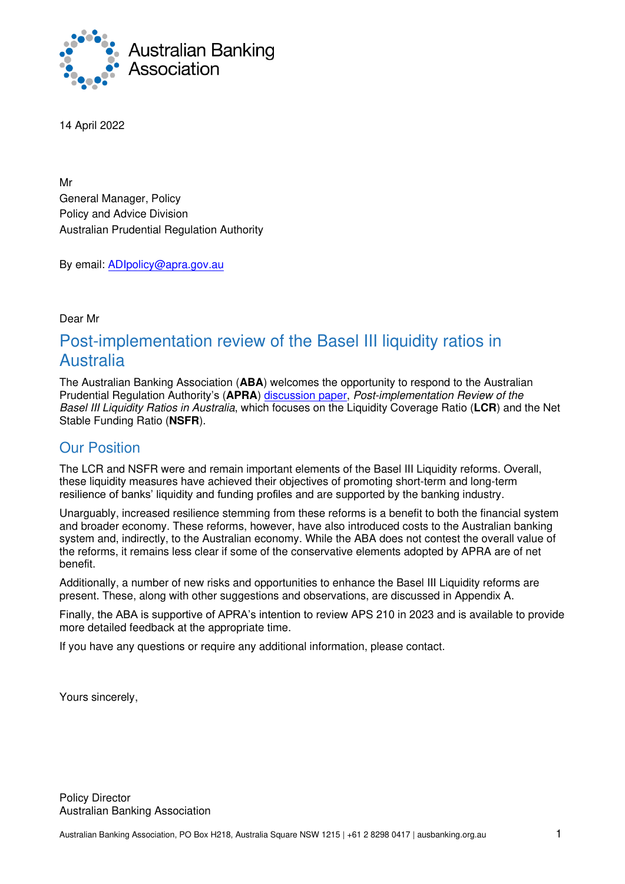

14 April 2022

Mr General Manager, Policy Policy and Advice Division Australian Prudential Regulation Authority

By email: [ADIpolicy@apra.gov.au](mailto:ADIpolicy@apra.gov.au)

Dear Mr

# Post-implementation review of the Basel III liquidity ratios in Australia

The Australian Banking Association (**ABA**) welcomes the opportunity to respond to the Australian Prudential Regulation Authority's (**APRA**) [discussion paper,](https://www.apra.gov.au/sites/default/files/2022-03/Discussion%20paper_Post-implementation%20review%20of%20the%20Basel%20III%20liquidity%20ratios%20in%20Australia.pdf) *Post-implementation Review of the Basel III Liquidity Ratios in Australia*, which focuses on the Liquidity Coverage Ratio (**LCR**) and the Net Stable Funding Ratio (**NSFR**).

### Our Position

The LCR and NSFR were and remain important elements of the Basel III Liquidity reforms. Overall, these liquidity measures have achieved their objectives of promoting short-term and long-term resilience of banks' liquidity and funding profiles and are supported by the banking industry.

Unarguably, increased resilience stemming from these reforms is a benefit to both the financial system and broader economy. These reforms, however, have also introduced costs to the Australian banking system and, indirectly, to the Australian economy. While the ABA does not contest the overall value of the reforms, it remains less clear if some of the conservative elements adopted by APRA are of net benefit.

Additionally, a number of new risks and opportunities to enhance the Basel III Liquidity reforms are present. These, along with other suggestions and observations, are discussed in Appendix A.

Finally, the ABA is supportive of APRA's intention to review APS 210 in 2023 and is available to provide more detailed feedback at the appropriate time.

If you have any questions or require any additional information, please contact.

Yours sincerely,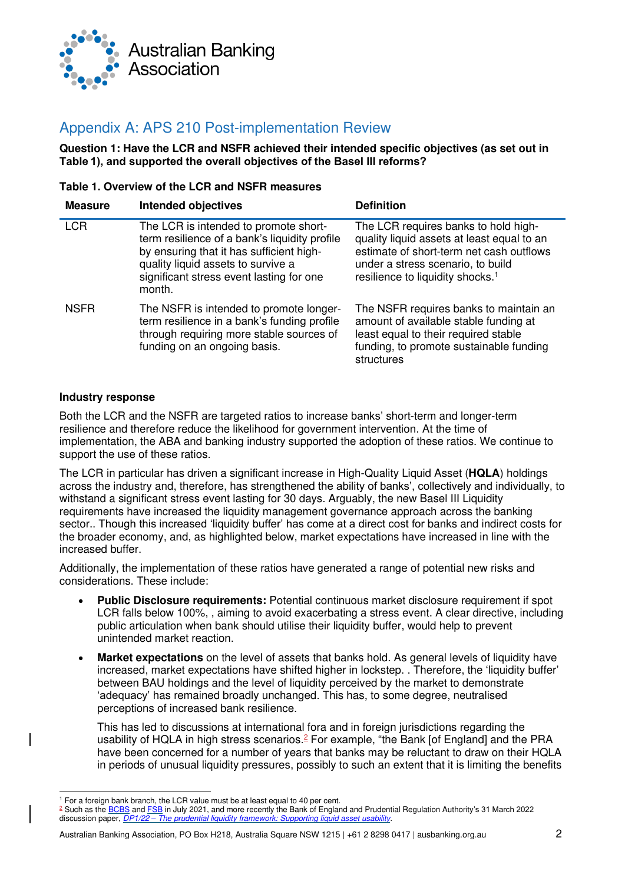

## Appendix A: APS 210 Post-implementation Review

**Question 1: Have the LCR and NSFR achieved their intended specific objectives (as set out in Table 1), and supported the overall objectives of the Basel III reforms?**

#### **Table 1. Overview of the LCR and NSFR measures**

| <b>Measure</b> | <b>Intended objectives</b>                                                                                                                                                                                                     | <b>Definition</b>                                                                                                                                                                                                   |
|----------------|--------------------------------------------------------------------------------------------------------------------------------------------------------------------------------------------------------------------------------|---------------------------------------------------------------------------------------------------------------------------------------------------------------------------------------------------------------------|
| <b>LCR</b>     | The LCR is intended to promote short-<br>term resilience of a bank's liquidity profile<br>by ensuring that it has sufficient high-<br>quality liquid assets to survive a<br>significant stress event lasting for one<br>month. | The LCR requires banks to hold high-<br>quality liquid assets at least equal to an<br>estimate of short-term net cash outflows<br>under a stress scenario, to build<br>resilience to liquidity shocks. <sup>1</sup> |
| <b>NSFR</b>    | The NSFR is intended to promote longer-<br>term resilience in a bank's funding profile<br>through requiring more stable sources of<br>funding on an ongoing basis.                                                             | The NSFR requires banks to maintain an<br>amount of available stable funding at<br>least equal to their required stable<br>funding, to promote sustainable funding<br>structures                                    |

#### **Industry response**

Both the LCR and the NSFR are targeted ratios to increase banks' short-term and longer-term resilience and therefore reduce the likelihood for government intervention. At the time of implementation, the ABA and banking industry supported the adoption of these ratios. We continue to support the use of these ratios.

The LCR in particular has driven a significant increase in High-Quality Liquid Asset (**HQLA**) holdings across the industry and, therefore, has strengthened the ability of banks', collectively and individually, to withstand a significant stress event lasting for 30 days. Arguably, the new Basel III Liquidity requirements have increased the liquidity management governance approach across the banking sector.. Though this increased 'liquidity buffer' has come at a direct cost for banks and indirect costs for the broader economy, and, as highlighted below, market expectations have increased in line with the increased buffer.

Additionally, the implementation of these ratios have generated a range of potential new risks and considerations. These include:

- **Public Disclosure requirements:** Potential continuous market disclosure requirement if spot LCR falls below 100%, , aiming to avoid exacerbating a stress event. A clear directive, including public articulation when bank should utilise their liquidity buffer, would help to prevent unintended market reaction.
- **Market expectations** on the level of assets that banks hold. As general levels of liquidity have increased, market expectations have shifted higher in lockstep. . Therefore, the 'liquidity buffer' between BAU holdings and the level of liquidity perceived by the market to demonstrate 'adequacy' has remained broadly unchanged. This has, to some degree, neutralised perceptions of increased bank resilience.

This has led to discussions at international fora and in foreign jurisdictions regarding the usability of HQLA in high stress scenarios.<sup>2</sup> For example, "the Bank [of England] and the PRA have been concerned for a number of years that banks may be reluctant to draw on their HQLA in periods of unusual liquidity pressures, possibly to such an extent that it is limiting the benefits

Australian Banking Association, PO Box H218, Australia Square NSW 1215 | +61 2 8298 0417 | ausbanking.org.au 2

<sup>&</sup>lt;sup>1</sup> For a foreign bank branch, the LCR value must be at least equal to 40 per cent.

<sup>&</sup>lt;sup>2</sup> Such as the <u>BCBS</u> an[d FSB](https://www.fsb.org/2021/07/lessons-learnt-from-the-covid-19-pandemic-from-a-financial-stability-perspective-interim-report/) in July 2021, and more recently the Bank of England and Prudential Regulation Authority's 31 March 2022 discussion paper, *DP1/22 – [The prudential liquidity framework: Supporting liquid asset usability.](https://www.bankofengland.co.uk/prudential-regulation/publication/2022/march/prudential-liquidity-framework-supporting-liquid-asset-usability)*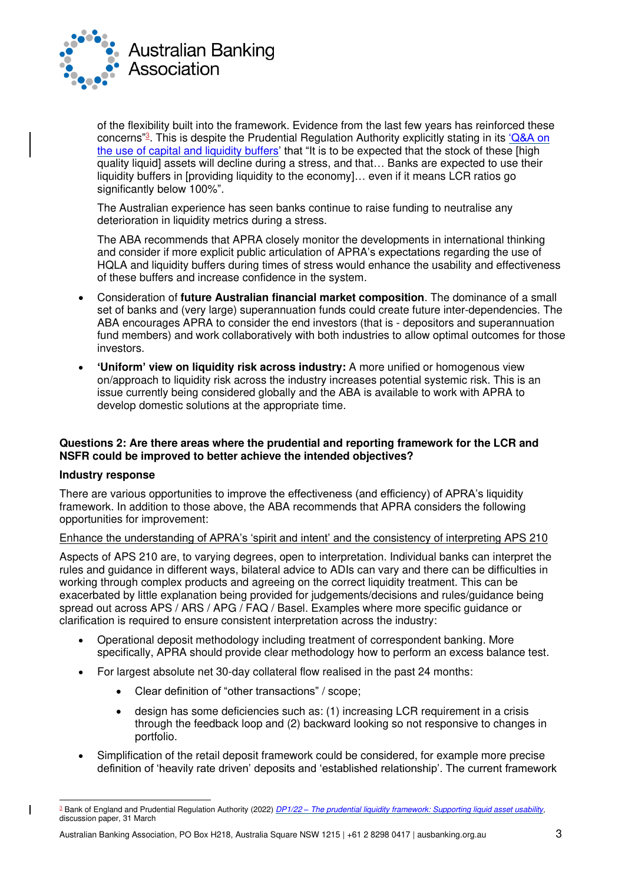

of the flexibility built into the framework. Evidence from the last few years has reinforced these concerns"<sup>3</sup>. This is despite the Prudential Regulation Authority explicitly stating in its '*Q&A* on [the use of capital and liquidity buffers](https://www.bankofengland.co.uk/-/media/boe/files/prudential-regulation/publication/2020/qanda-on-the-use-of-liquidity-and-capital-buffers.pdf?la=en&hash=151DF13BD8CA7E3755D515BC5A44F9A299C1235D)' that "It is to be expected that the stock of these [high quality liquid] assets will decline during a stress, and that… Banks are expected to use their liquidity buffers in [providing liquidity to the economy]… even if it means LCR ratios go significantly below 100%".

The Australian experience has seen banks continue to raise funding to neutralise any deterioration in liquidity metrics during a stress.

The ABA recommends that APRA closely monitor the developments in international thinking and consider if more explicit public articulation of APRA's expectations regarding the use of HQLA and liquidity buffers during times of stress would enhance the usability and effectiveness of these buffers and increase confidence in the system.

- Consideration of **future Australian financial market composition**. The dominance of a small set of banks and (very large) superannuation funds could create future inter-dependencies. The ABA encourages APRA to consider the end investors (that is - depositors and superannuation fund members) and work collaboratively with both industries to allow optimal outcomes for those investors.
- **'Uniform' view on liquidity risk across industry:** A more unified or homogenous view on/approach to liquidity risk across the industry increases potential systemic risk. This is an issue currently being considered globally and the ABA is available to work with APRA to develop domestic solutions at the appropriate time.

#### **Questions 2: Are there areas where the prudential and reporting framework for the LCR and NSFR could be improved to better achieve the intended objectives?**

#### **Industry response**

 $\overline{\phantom{a}}$ 

There are various opportunities to improve the effectiveness (and efficiency) of APRA's liquidity framework. In addition to those above, the ABA recommends that APRA considers the following opportunities for improvement:

#### Enhance the understanding of APRA's 'spirit and intent' and the consistency of interpreting APS 210

Aspects of APS 210 are, to varying degrees, open to interpretation. Individual banks can interpret the rules and guidance in different ways, bilateral advice to ADIs can vary and there can be difficulties in working through complex products and agreeing on the correct liquidity treatment. This can be exacerbated by little explanation being provided for judgements/decisions and rules/guidance being spread out across APS / ARS / APG / FAQ / Basel. Examples where more specific guidance or clarification is required to ensure consistent interpretation across the industry:

- Operational deposit methodology including treatment of correspondent banking. More specifically, APRA should provide clear methodology how to perform an excess balance test.
- For largest absolute net 30-day collateral flow realised in the past 24 months:
	- Clear definition of "other transactions" / scope;
	- design has some deficiencies such as: (1) increasing LCR requirement in a crisis through the feedback loop and (2) backward looking so not responsive to changes in portfolio.
- Simplification of the retail deposit framework could be considered, for example more precise definition of 'heavily rate driven' deposits and 'established relationship'. The current framework

<sup>3</sup> Bank of England and Prudential Regulation Authority (2022) *DP1/22 – [The prudential liquidity framework: Supporting liquid asset usability,](https://www.bankofengland.co.uk/prudential-regulation/publication/2022/march/prudential-liquidity-framework-supporting-liquid-asset-usability)*  discussion paper, 31 March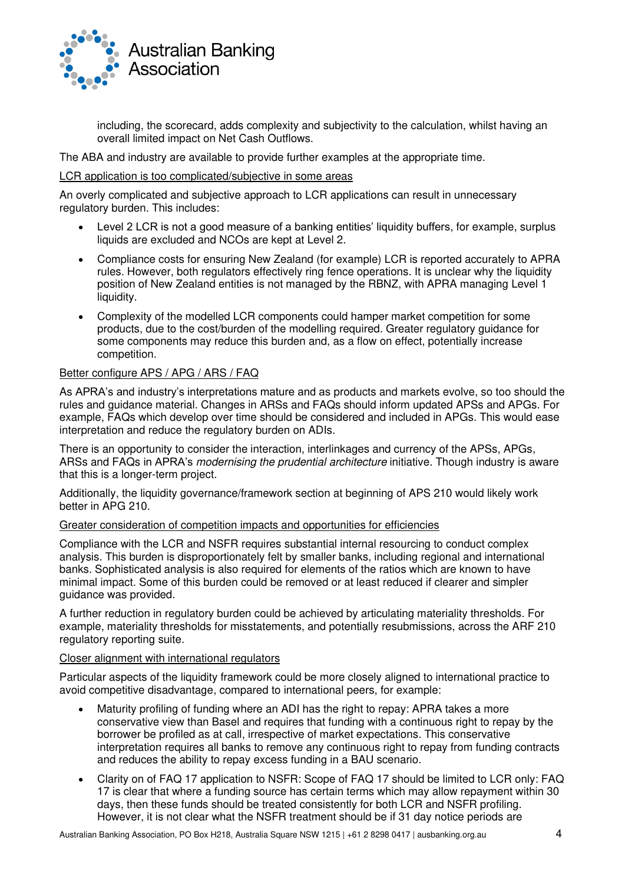

including, the scorecard, adds complexity and subjectivity to the calculation, whilst having an overall limited impact on Net Cash Outflows.

The ABA and industry are available to provide further examples at the appropriate time.

#### LCR application is too complicated/subjective in some areas

An overly complicated and subjective approach to LCR applications can result in unnecessary regulatory burden. This includes:

- Level 2 LCR is not a good measure of a banking entities' liquidity buffers, for example, surplus liquids are excluded and NCOs are kept at Level 2.
- Compliance costs for ensuring New Zealand (for example) LCR is reported accurately to APRA rules. However, both regulators effectively ring fence operations. It is unclear why the liquidity position of New Zealand entities is not managed by the RBNZ, with APRA managing Level 1 liquidity.
- Complexity of the modelled LCR components could hamper market competition for some products, due to the cost/burden of the modelling required. Greater regulatory guidance for some components may reduce this burden and, as a flow on effect, potentially increase competition.

#### Better configure APS / APG / ARS / FAQ

As APRA's and industry's interpretations mature and as products and markets evolve, so too should the rules and guidance material. Changes in ARSs and FAQs should inform updated APSs and APGs. For example, FAQs which develop over time should be considered and included in APGs. This would ease interpretation and reduce the regulatory burden on ADIs.

There is an opportunity to consider the interaction, interlinkages and currency of the APSs, APGs, ARSs and FAQs in APRA's *modernising the prudential architecture* initiative. Though industry is aware that this is a longer-term project.

Additionally, the liquidity governance/framework section at beginning of APS 210 would likely work better in APG 210.

#### Greater consideration of competition impacts and opportunities for efficiencies

Compliance with the LCR and NSFR requires substantial internal resourcing to conduct complex analysis. This burden is disproportionately felt by smaller banks, including regional and international banks. Sophisticated analysis is also required for elements of the ratios which are known to have minimal impact. Some of this burden could be removed or at least reduced if clearer and simpler guidance was provided.

A further reduction in regulatory burden could be achieved by articulating materiality thresholds. For example, materiality thresholds for misstatements, and potentially resubmissions, across the ARF 210 regulatory reporting suite.

#### Closer alignment with international regulators

Particular aspects of the liquidity framework could be more closely aligned to international practice to avoid competitive disadvantage, compared to international peers, for example:

- Maturity profiling of funding where an ADI has the right to repay: APRA takes a more conservative view than Basel and requires that funding with a continuous right to repay by the borrower be profiled as at call, irrespective of market expectations. This conservative interpretation requires all banks to remove any continuous right to repay from funding contracts and reduces the ability to repay excess funding in a BAU scenario.
- Clarity on of FAQ 17 application to NSFR: Scope of FAQ 17 should be limited to LCR only: FAQ 17 is clear that where a funding source has certain terms which may allow repayment within 30 days, then these funds should be treated consistently for both LCR and NSFR profiling. However, it is not clear what the NSFR treatment should be if 31 day notice periods are